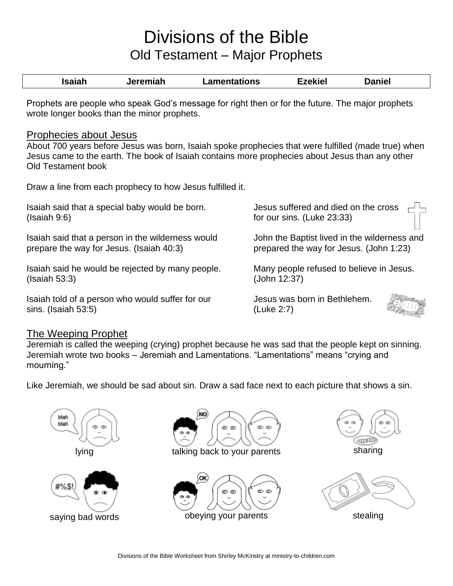## Divisions of the Bible Old Testament – Major Prophets

| Isaiah | Jeremiah | Lamentations | Ezekiel | <b>Daniel</b> |
|--------|----------|--------------|---------|---------------|
|        |          |              |         |               |

Prophets are people who speak God's message for right then or for the future. The major prophets wrote longer books than the minor prophets.

## Prophecies about Jesus

About 700 years before Jesus was born, Isaiah spoke prophecies that were fulfilled (made true) when Jesus came to the earth. The book of Isaiah contains more prophecies about Jesus than any other Old Testament book

Draw a line from each prophecy to how Jesus fulfilled it.

| Isaiah said that a special baby would be born.    | Jesus suffered and died on the cross         |
|---------------------------------------------------|----------------------------------------------|
| (Isaiah 9:6)                                      | for our sins. (Luke 23:33)                   |
| Isaiah said that a person in the wilderness would | John the Baptist lived in the wilderness and |
| prepare the way for Jesus. (Isaiah 40:3)          | prepared the way for Jesus. (John 1:23)      |
| Isaiah said he would be rejected by many people.  | Many people refused to believe in Jesus.     |
| (Isaiah 53:3)                                     | (John 12:37)                                 |
| Isaiah told of a person who would suffer for our  | Jesus was born in Bethlehem.                 |

## The Weeping Prophet

sins. (Isaiah 53:5)

Jeremiah is called the weeping (crying) prophet because he was sad that the people kept on sinning. Jeremiah wrote two books – Jeremiah and Lamentations. "Lamentations" means "crying and mourning."

(Luke 2:7)

Like Jeremiah, we should be sad about sin. Draw a sad face next to each picture that shows a sin.





lying talking back to your parents sharing